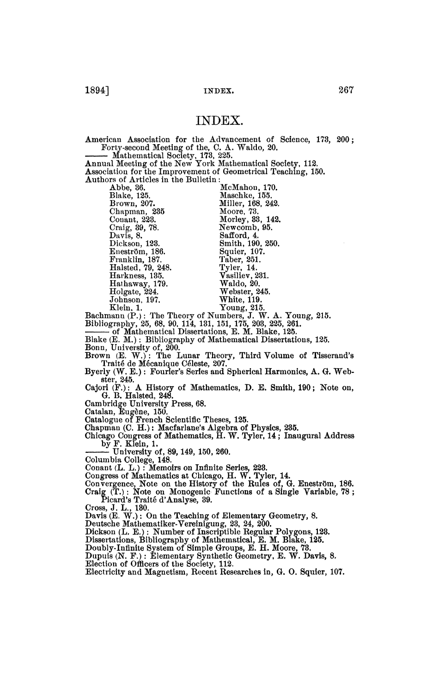## INDEX.

American Association for the Advancement of Science, 173, 200 ; Forty-second Meeting of the, C. A. Waldo, 20,

Mathematical Society, 173, 225.

Annual Meeting of the New York Mathematical Society, 112. Association for the Improvement of Geometrical Teaching, 150. Authors of Articles in the Bulletin :

Brown, 207. Miller, 168, 249 Craig, 39, 78. Newcomb<br>Davis, 8. Safford, 4.  $\frac{E}{E}$ neström, 186.  $\frac{E}{E}$  Squier, 107 Harkness, 135. Vasiliev, 231. Franklin, 187. Taber, 251. Holgate, 224. Webster, 2

Abbe, 36. McMahou, 170.  $Chapman, 235$  Moore, 73. Chapman, 235 Moore, 73. Craig, 39, 78. Newcomb, 95. Dickson, 123. Smith, 190, 250. Harkness, 135. Vasiliev, 231.

 $\liminf_{n \to \infty} \mathcal{F}_n$ . The Theory of Numbers, J. V graphy, 25, 68, 90, 114, 131, 151, 175, 203, 2

of Mathematical Dissertations, E. M. Bl.<br>(E. M.). Diblis works: of Mathematical I  $(x_1, x_1, \ldots, x_n)$ . Bionography of mainematical  $D$ 

Brown, Chryster, G., No.<br>Brown (E. W.): The Lunar Theory, Third Volume of Tisser<br>Traité de Mécanique Céleste, 207.

Byerly (W. E.): Fourier's Series and Spherical Harmonics, A. G. Web- $\text{ster, } 245.$ 

Cajori  $(F_1): A$  History of G. D. Haisted, 2-10.<br>Cambridge University Press, 68.

Catalan, Eugène, 150.<br>Catalan, Eugène, 150.<br>Catalogue of French Scientific Theses, 125.<br>Chapman (C. H.): Macfarlane's Algebra of Physics, 235.<br>Chicago Congress of Mathematics, H. W. Tyler, 14; Inaugural Address<br>by F. Kiein

Columbia College, 148.<br>Columbia College, 148.<br>Conant (L. L.) : Memoirs on Infinite Series, 223.<br>Congress of Mathematics at Chicago, H. W. Tyler, 14.<br>Chapmane, Note on the History of the Rules of, G. Single Variable 78.<br>Cra

 $\text{card's}$  Traité d'Analyse. 39.

Cross, J. L., 130.<br>Davis (E. W.): On the Teaching of Elementary Geometry, 8. Davis (E. W.): On the Teaching of Elementary  $\sum_{n=1}^{\infty}$ 

Deutsche Mathematiker-Verenngung, 20, 24, 200.<br>Dickson (T. E.) · Number of Inscriptible Recular Poly

Dissertations. Bibliography of Mathematical, E. M. Blake, 125.

Doubly-Infinite System of Simple Groups, E. H. Moore, 73.

uis (N. F.) : Elementary Synt

Election of Officers of the Society, 112.<br>Electricity and Magnetism, Recent Researches in, G. O. Squic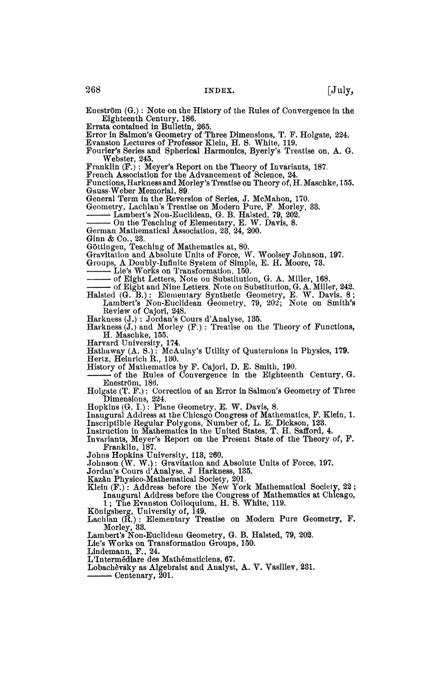Eneström  $(G.):$  Note on the History of the Rules of Convergence in the Eighteenth Century, 186.

Errata contained in Bulletin, 265.

Error in Salmon's Geometry of Three Dimensions, T. F. Holgate, 224. Evanston Lectures of Professor Klein, H. 8. White, 119. Fourier's Series and Spherical Harmonics, Byerly's Treatise on, A. G.

Webster, 245.

Franklin (F,) : Meyer's Report on the Theory of Invariants, 187. French Association for the Advancement of Science, 24.

Functions, Harkness and Morley's Treatise on Theory of, H. Maschke, 155. Gauss-Weber Memorial, 89.

General Term in the Reversion of Series, J. McMahon, 170. Geometry, Lachlan's Treatise on Modern Pure, F. Morley, 33.

Lambert's Non-Euclidean, G. B. Halsted, 79, 202.

On the Teaching of Elementary, E. W. Davis, 8.

German Mathematical Association, 20, 24, 200.<br>Ginn & Co., 23.

Göttingen, Teac

Gottingen, Teaching of Mathematics at, 80. Woolsey Johnson, 197.

Groups, A Doubly-Infinite System of Simple, E. H. Moore, 73.<br>Lie's Works on Transformation, 150.

of Eight Letters, Note on Substitution, G. A. Miller, 168.

of Eight and Nine Letters. Note on Su

 $\mathbf{C}(\mathbf{G}, \mathbf{B})$ : Elementary Synthetic Geometry, E. W. Dav mberts Non-Euchdean Geometry, 19, 202; Note on Suitutis.<br>view of Caiori 248.

 $Harkness (J.) : Jordan's Course d'Analyse, 135.$ 

kness  $(J.)$  and Morley  $(F.)$ : Treatise on the Theory of Functions, H. Maschke, 155.

Harvard University, 174.<br>Hathaway (A. S.): McAulay's Utility of Quaternions in Physics, 179.<br>Hertz, Heinrich R., 130.

History of Mathematics by F. Cajori, D. E. Smith, 190.

to f the Rules of Convergence in the Eighteenth Century, G. Eneström, 186.

Eneström, 186.<br>Holgate (T. F.): Correction of an Error in Salmon's Geometry of Three<br>Dimensions, 224.<br>Hopkins (G. I.): Plane Geometry, E. W. Davis, 8.<br>Inaugural Address at the Chicago Congress of Mathematics, F. Klein, 1.

Inscriptible Regular Polygons, Number of, L. E. I<br>Instruction in Mathematics in the United States, T.

Invariants, Meyer's Report on the Present State of the Theory of, F. Franklin, 187.

Johns Hopkins University, 113, 260.

Johnson (W. W.): Gravitation and Absolute Units of Force, 197.<br>Jordan's Cours d'Analyse, J Harkness, 135.<br>Kazàn Physico-Mathematical Society, 201.<br>Klein (F.): Address before the New York Mathematical Society, 22 ;

Inaugural Address before the Congress of Mathematics at Chicago,

1; The Evanston Colloquium, H. S. White, 119. Königsberg, University of,  $149$ .

 $\lim_{\Omega}$  (R.): Elementary Treatise on Modern Pure Geometry, F.

Morley, 33.<br>Lambert's Non-Euclidean Geometry, G. B. Halsted, 7

Lie's Works on Transformation Groups, 150.

Lindemann, F., 24.

L'Intermédiare des Mathématiciens, 67.

Lobachevsky as Algebraist and Analyst, A. V. Vasiliev, 231.

- Centenary, 201. L'Intermédiare des Mathématiciens, 67.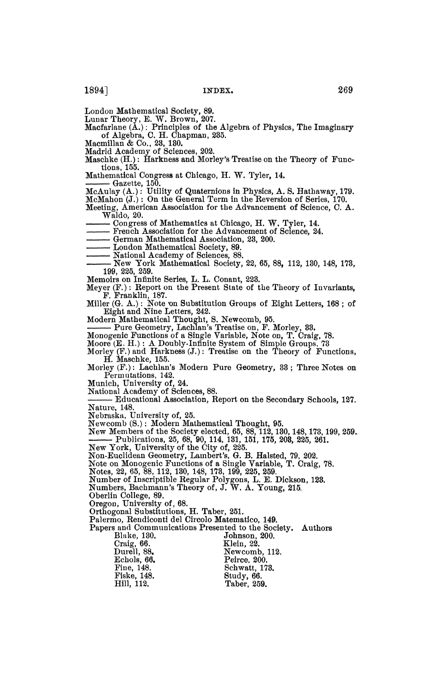London Mathematical Society, 89.

Lunar Theory, E. W. Brown, 207. Macfarlane (A.) : Principles of the Algebra of Physics, The Imaginary of Algebra, C. H. Chapman, 235.

Macmillan & Co., 23, 130. Madrid Academy of Sciences, 202.

Maschke  $(H.):$  Harkness and Morley's Treatise on the Theory of Functions, 155.

Mathematical Congress at Chicago, H. W. Tyler, 14.

Gazette, 150.

McAulay (A.) : Utility of Quaternions in Physics, A. S. Hathaway, 179. McMahon (J.) : On the General Term in the Reversion of Series, 170. Meeting, American Association for the Advancement of Science, C. A.

Waldo, 20.<br>— Congress of Mathematics at Chicago, H. W. Tyler, 14. Congress of Mathematics at Chicago, H. W. Tyler, 14.<br>Example Association for the Advancement of Science 24.

French Association for the Advancement of Science, 24.<br>German Mathematical Association. 23, 200.

London Mathematical Society, 89.

National Academy of Sciences, 88.

— New York Mathematical Society, 22, 65, 88, 112, 130, 148, 173, 199, 225, 259.

Memoirs on Infinite Series, L. L. Conant, 223.

Meyer (F.) : Report on the Present State of the Theory of Invariants,<br>
F. Franklin, 187.<br>
Miller (G. A.) : Note on Substitution Groups of Eight Letters. 168 : of

Eight and Nine Letters, 242.

Miller (G. A.) : Note 'on Substitution Groups of Eight Letters, 168 ; of Eight and Nine Letters, 242. Modern Mathematical Thought, S. Newcomb, 95.

 $(E. H.): A$  Doubly-Infinite System of Simple Groups.

Morley (F.) and Harkness (J.): Treatise on, the Theory of Functions H. Maschke, 155.

Morley  $(F.):$  Lachlan's Modern Pure Geometry,  $33:$  Three Notes on Permutations, 142.

Munich, University of, 24.<br>National Academy of Sciences, 88.

Educational Association, Report on the Secondary Schools, 127. Nature, 148.<br>Nebraska, University of, 25.

Newcomb (S.): Modern Mathematical Thought, 95. Newcomb (S<br>Nam Mamba

New members of the Society

New York, University of the City of, 225.

Non-Euclidean Geometry, Lambert's, G. B. Halsted, 79, 202.

a monogenic Functions of a Single Variable, T. Craig, 78.<br>99, 65, 89, 119, 190, 149, 159, 100, 995, 950.

Notes, 22, 00, 88, 112, 150, 148, 178, 199, 220, 209.<br>Number of Inscriptible Regular Polygons, L. E. Dickson, 128.<br>Numbers, Bachmann's Theory of, J. W. A. Young, 215.

Oberlin College, 89.<br>Oregon, University of, 68.

Oregon, University of, 68.<br>Orthogonal Substitutions, H. Taber, 251.<br>Palermo, Rendiconti del Circolo Matematico, 149.<br>Numbers, Anthon

Papers and Communications Presented to the Society. Authors

| Blake, 130. | Johnson, 200. |  |
|-------------|---------------|--|
| Craig. 66.  | Klein. 22.    |  |
| Durell, 88. | Newcomb, 112. |  |
| Echols, 66. | Peirce. 200.  |  |
| Fine. 148.  | Schwatt, 173. |  |
| Fiske. 148. | Study, 66.    |  |
| Hill. 112.  | Taber, 259.   |  |
|             |               |  |